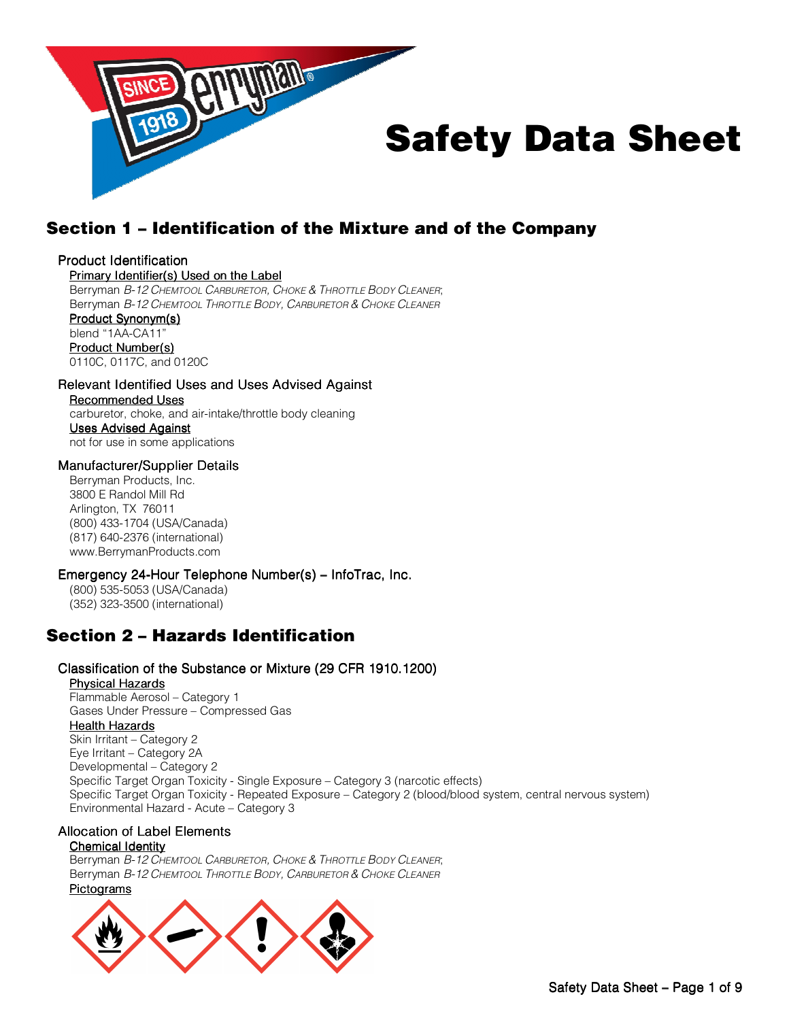

# Section 1 – Identification of the Mixture and of the Company

### Product Identification

### Primary Identifier(s) Used on the Label

Berryman B-12 CHEMTOOL CARBURETOR, CHOKE & THROTTLE BODY CLEANER; Berryman B-12 CHEMTOOL THROTTLE BODY, CARBURETOR & CHOKE CLEANER

#### Product Synonym(s) blend "1AA-CA11" Product Number(s) 0110C, 0117C, and 0120C

Relevant Identified Uses and Uses Advised Against Recommended Uses carburetor, choke, and air-intake/throttle body cleaning **Uses Advised Against** 

not for use in some applications

### Manufacturer/Supplier Details

Berryman Products, Inc. 3800 E Randol Mill Rd Arlington, TX 76011 (800) 433-1704 (USA/Canada) (817) 640-2376 (international) www.BerrymanProducts.com

### Emergency 24-Hour Telephone Number(s) – InfoTrac, Inc.

(800) 535-5053 (USA/Canada) (352) 323-3500 (international)

# Section 2 – Hazards Identification

### Classification of the Substance or Mixture (29 CFR 1910.1200)

Physical Hazards Flammable Aerosol – Category 1 Gases Under Pressure – Compressed Gas

### **Health Hazards**

Skin Irritant – Category 2 Eye Irritant – Category 2A Developmental – Category 2 Specific Target Organ Toxicity - Single Exposure – Category 3 (narcotic effects) Specific Target Organ Toxicity - Repeated Exposure – Category 2 (blood/blood system, central nervous system) Environmental Hazard - Acute – Category 3

### Allocation of Label Elements

### Chemical Identity

Berryman B-12 CHEMTOOL CARBURETOR, CHOKE & THROTTLE BODY CLEANER; Berryman B-12 CHEMTOOL THROTTLE BODY, CARBURETOR & CHOKE CLEANER

### **Pictograms**

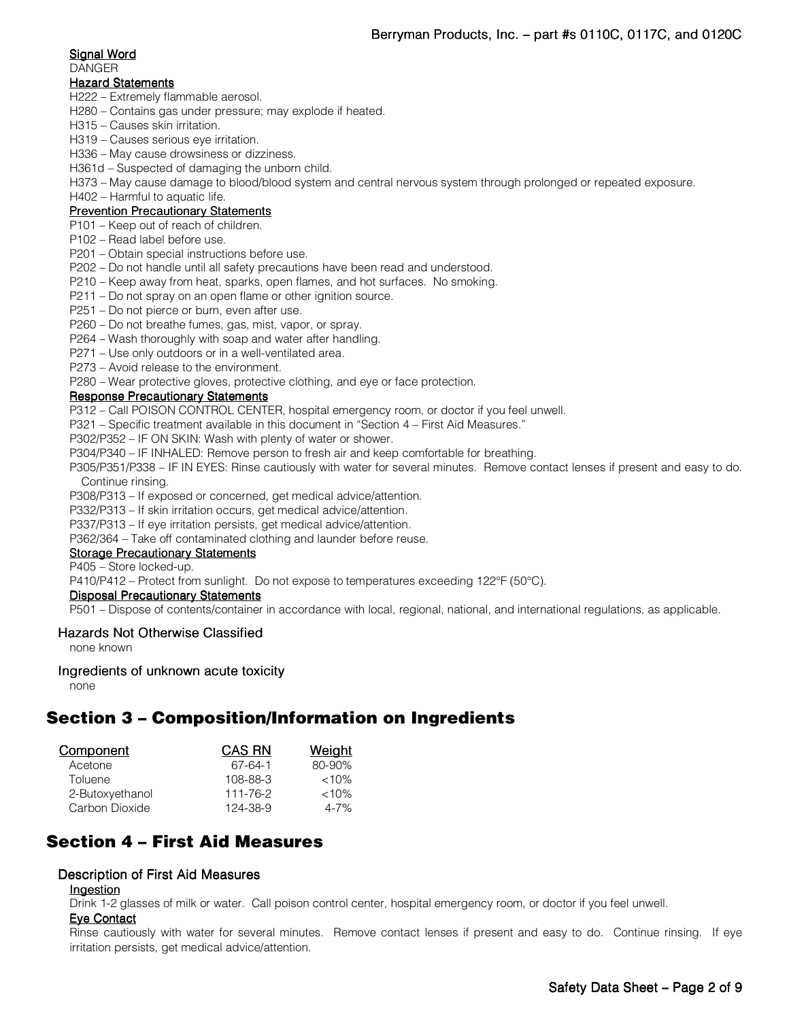### Signal Word

DANGER

### **Hazard Statements**

- H222 Extremely flammable aerosol.
- H280 Contains gas under pressure; may explode if heated.
- H315 Causes skin irritation.
- H319 Causes serious eye irritation.

H336 – May cause drowsiness or dizziness.

H361d – Suspected of damaging the unborn child.

H373 – May cause damage to blood/blood system and central nervous system through prolonged or repeated exposure.

H402 – Harmful to aquatic life.

### Prevention Precautionary Statements

- P101 Keep out of reach of children.
- P102 Read label before use.
- P201 Obtain special instructions before use.
- P202 Do not handle until all safety precautions have been read and understood.
- P210 Keep away from heat, sparks, open flames, and hot surfaces. No smoking.
- P211 Do not spray on an open flame or other ignition source.
- P251 Do not pierce or burn, even after use.
- P260 Do not breathe fumes, gas, mist, vapor, or spray.
- P264 Wash thoroughly with soap and water after handling.
- P271 Use only outdoors or in a well-ventilated area.

P273 – Avoid release to the environment.

P280 – Wear protective gloves, protective clothing, and eye or face protection.

### Response Precautionary Statements

P312 – Call POISON CONTROL CENTER, hospital emergency room, or doctor if you feel unwell.

P321 – Specific treatment available in this document in "Section 4 – First Aid Measures."

P302/P352 – IF ON SKIN: Wash with plenty of water or shower.

P304/P340 – IF INHALED: Remove person to fresh air and keep comfortable for breathing.

P305/P351/P338 – IF IN EYES: Rinse cautiously with water for several minutes. Remove contact lenses if present and easy to do. Continue rinsing.

P308/P313 – If exposed or concerned, get medical advice/attention.

P332/P313 – If skin irritation occurs, get medical advice/attention.

P337/P313 – If eye irritation persists, get medical advice/attention.

P362/364 – Take off contaminated clothing and launder before reuse.

### Storage Precautionary Statements

P405 – Store locked-up.

P410/P412 – Protect from sunlight. Do not expose to temperatures exceeding 122°F (50°C).

### Disposal Precautionary Statements

P501 – Dispose of contents/container in accordance with local, regional, national, and international regulations, as applicable.

### Hazards Not Otherwise Classified

none known

### Ingredients of unknown acute toxicity

none

# Section 3 – Composition/Information on Ingredients

| <b>Component</b> | <b>CAS RN</b> | <b>Weight</b> |
|------------------|---------------|---------------|
| Acetone          | 67-64-1       | 80-90%        |
| Toluene          | 108-88-3      | $<10\%$       |
| 2-Butoxyethanol  | 111-76-2      | $<10\%$       |
| Carbon Dioxide   | 124-38-9      | $4 - 7%$      |

# Section 4 – First Aid Measures

### Description of First Aid Measures

### Ingestion

Drink 1-2 glasses of milk or water. Call poison control center, hospital emergency room, or doctor if you feel unwell.

### Eye Contact

Rinse cautiously with water for several minutes. Remove contact lenses if present and easy to do. Continue rinsing. If eye irritation persists, get medical advice/attention.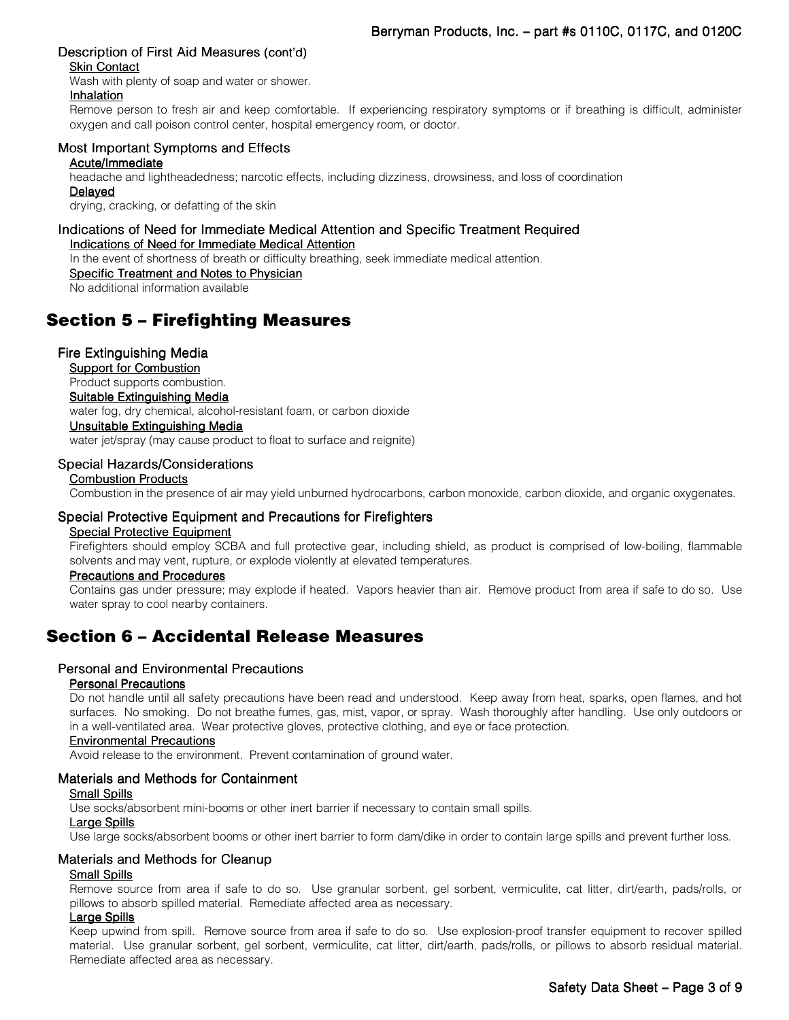### Description of First Aid Measures (cont'd)

### Skin Contact

Wash with plenty of soap and water or shower.

### Inhalation

Remove person to fresh air and keep comfortable. If experiencing respiratory symptoms or if breathing is difficult, administer oxygen and call poison control center, hospital emergency room, or doctor.

### Most Important Symptoms and Effects

Acute/Immediate

headache and lightheadedness; narcotic effects, including dizziness, drowsiness, and loss of coordination **Delayed** 

drying, cracking, or defatting of the skin

#### Indications of Need for Immediate Medical Attention and Specific Treatment Required Indications of Need for Immediate Medical Attention

In the event of shortness of breath or difficulty breathing, seek immediate medical attention.

Specific Treatment and Notes to Physician

No additional information available

# Section 5 – Firefighting Measures

### Fire Extinguishing Media

Support for Combustion Product supports combustion. Suitable Extinguishing Media water fog, dry chemical, alcohol-resistant foam, or carbon dioxide Unsuitable Extinguishing Media water jet/spray (may cause product to float to surface and reignite)

### Special Hazards/Considerations

### Combustion Products

Combustion in the presence of air may yield unburned hydrocarbons, carbon monoxide, carbon dioxide, and organic oxygenates.

### Special Protective Equipment and Precautions for Firefighters

### Special Protective Equipment

Firefighters should employ SCBA and full protective gear, including shield, as product is comprised of low-boiling, flammable solvents and may vent, rupture, or explode violently at elevated temperatures.

### Precautions and Procedures

Contains gas under pressure; may explode if heated. Vapors heavier than air. Remove product from area if safe to do so. Use water spray to cool nearby containers.

### Section 6 – Accidental Release Measures

### Personal and Environmental Precautions

### Personal Precautions

Do not handle until all safety precautions have been read and understood. Keep away from heat, sparks, open flames, and hot surfaces. No smoking. Do not breathe fumes, gas, mist, vapor, or spray. Wash thoroughly after handling. Use only outdoors or in a well-ventilated area. Wear protective gloves, protective clothing, and eye or face protection.

### **Environmental Precautions**

Avoid release to the environment. Prevent contamination of ground water.

### Materials and Methods for Containment

### **Small Spills**

Use socks/absorbent mini-booms or other inert barrier if necessary to contain small spills.

### Large Spills

Use large socks/absorbent booms or other inert barrier to form dam/dike in order to contain large spills and prevent further loss.

### Materials and Methods for Cleanup

### Small Spills

Remove source from area if safe to do so. Use granular sorbent, gel sorbent, vermiculite, cat litter, dirt/earth, pads/rolls, or pillows to absorb spilled material. Remediate affected area as necessary.

### Large Spills

Keep upwind from spill. Remove source from area if safe to do so. Use explosion-proof transfer equipment to recover spilled material. Use granular sorbent, gel sorbent, vermiculite, cat litter, dirt/earth, pads/rolls, or pillows to absorb residual material. Remediate affected area as necessary.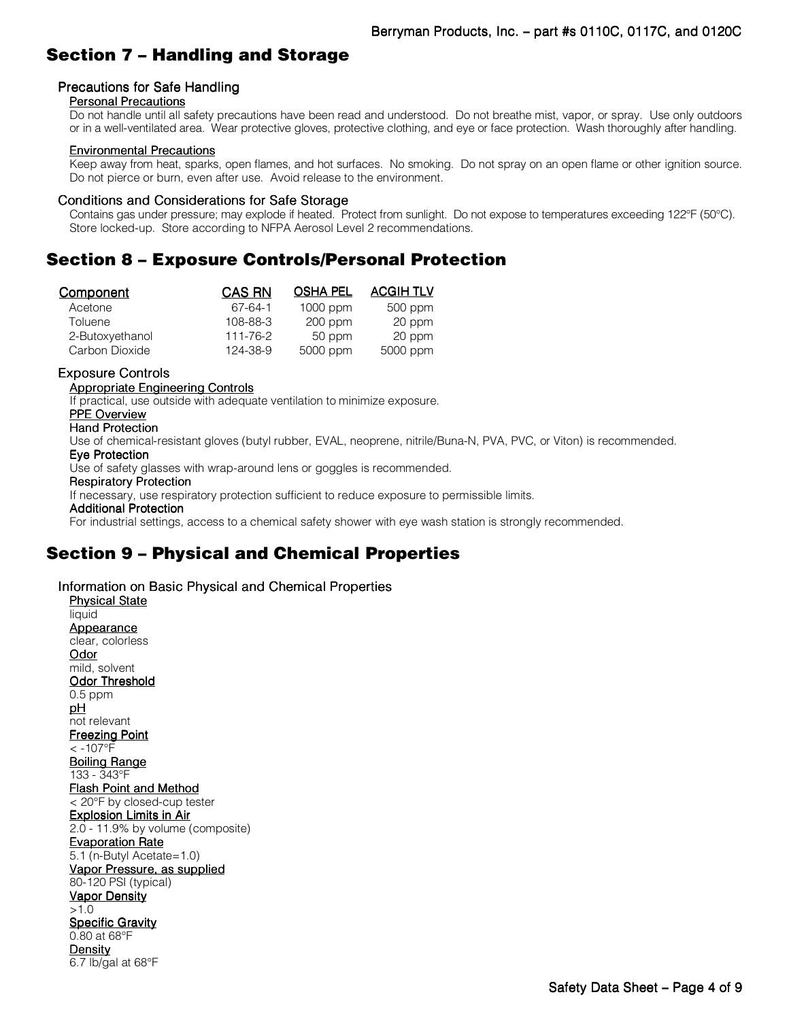# Section 7 – Handling and Storage

### Precautions for Safe Handling

### Personal Precautions

Do not handle until all safety precautions have been read and understood. Do not breathe mist, vapor, or spray. Use only outdoors or in a well-ventilated area. Wear protective gloves, protective clothing, and eye or face protection. Wash thoroughly after handling.

### Environmental Precautions

Keep away from heat, sparks, open flames, and hot surfaces. No smoking. Do not spray on an open flame or other ignition source. Do not pierce or burn, even after use. Avoid release to the environment.

### Conditions and Considerations for Safe Storage

Contains gas under pressure; may explode if heated. Protect from sunlight. Do not expose to temperatures exceeding 122°F (50°C). Store locked-up. Store according to NFPA Aerosol Level 2 recommendations.

## Section 8 – Exposure Controls/Personal Protection

| Component       | <b>CAS RN</b> | <b>OSHA PEL</b> | <b>ACGIH TLV</b> |
|-----------------|---------------|-----------------|------------------|
| Acetone         | 67-64-1       | $1000$ ppm      | 500 ppm          |
| Toluene         | 108-88-3      | $200$ ppm       | 20 ppm           |
| 2-Butoxyethanol | 111-76-2      | 50 ppm          | 20 ppm           |
| Carbon Dioxide  | 124-38-9      | 5000 ppm        | 5000 ppm         |

### Exposure Controls

### Appropriate Engineering Controls

If practical, use outside with adequate ventilation to minimize exposure.

### PPE Overview

#### Hand Protection

Use of chemical-resistant gloves (butyl rubber, EVAL, neoprene, nitrile/Buna-N, PVA, PVC, or Viton) is recommended.

#### Eye Protection Eye Protection

Use of safety glasses with wrap-around lens or goggles is recommended.

### Respiratory Protection

If necessary, use respiratory protection sufficient to reduce exposure to permissible limits.

**Additional Protection** 

For industrial settings, access to a chemical safety shower with eye wash station is strongly recommended.

# Section 9 – Physical and Chemical Properties

Information on Basic Physical and Chemical Properties **Physical State** liquid **Appearance** clear, colorless Odor mild, solvent Odor Threshold 0.5 ppm pH not relevant Freezing Point  $< -107$ °F Boiling Range 133 - 343°F Flash Point and Method < 20°F by closed-cup tester Explosion Limits in Air 2.0 - 11.9% by volume (composite) Evaporation Rate 5.1 (n-Butyl Acetate=1.0) Vapor Pressure, as supplied 80-120 PSI (typical) Vapor Density >1.0 **Specific Gravity** 0.80 at 68°F **Density** 6.7 lb/gal at 68°F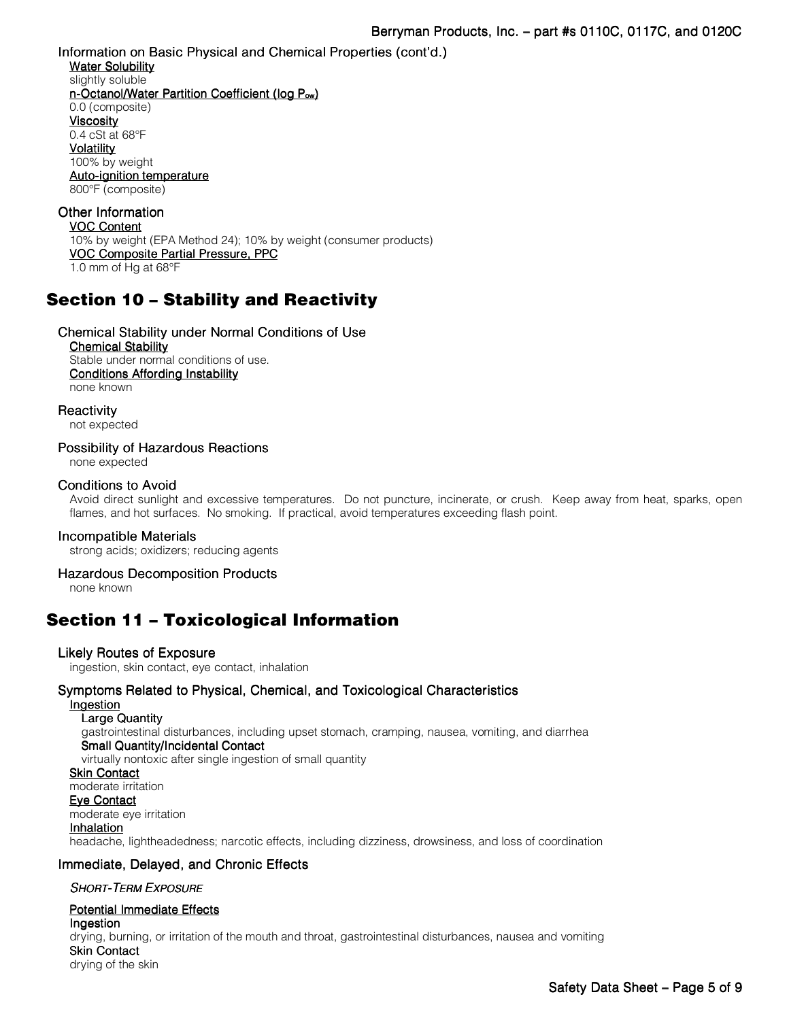Information on Basic Physical and Chemical Properties (cont'd.) Water Solubility slightly soluble n-Octanol/Water Partition Coefficient (log P<sub>ow</sub>) 0.0 (composite) **Viscosity** 0.4 cSt at 68°F **Volatility** 100% by weight Auto-ignition temperature 800°F (composite) Other Information VOC Content

10% by weight (EPA Method 24); 10% by weight (consumer products) VOC Composite Partial Pressure, PPC 1.0 mm of Hg at 68°F

# Section 10 – Stability and Reactivity

Chemical Stability under Normal Conditions of Use **Chemical Stability** Stable under normal conditions of use. Conditions Affording Instability none known

**Reactivity** 

not expected

Possibility of Hazardous Reactions

none expected

### Conditions to Avoid

Avoid direct sunlight and excessive temperatures. Do not puncture, incinerate, or crush. Keep away from heat, sparks, open flames, and hot surfaces. No smoking. If practical, avoid temperatures exceeding flash point.

### Incompatible Materials

strong acids; oxidizers; reducing agents

### Hazardous Decomposition Products

none known

### Section 11 – Toxicological Information

### Likely Routes of Exposure

ingestion, skin contact, eye contact, inhalation

### Symptoms Related to Physical, Chemical, and Toxicological Characteristics

### **Ingestion**

Large Quantity gastrointestinal disturbances, including upset stomach, cramping, nausea, vomiting, and diarrhea Small Quantity/Incidental Contact virtually nontoxic after single ingestion of small quantity Skin Contact moderate irritation Eye Contact moderate eye irritation

### **Inhalation**

headache, lightheadedness; narcotic effects, including dizziness, drowsiness, and loss of coordination

### Immediate, Delayed, and Chronic Effects

### SHORT-TERM EXPOSURE

### Potential Immediate Effects

Ingestion drying, burning, or irritation of the mouth and throat, gastrointestinal disturbances, nausea and vomiting **Skin Contact** drying of the skin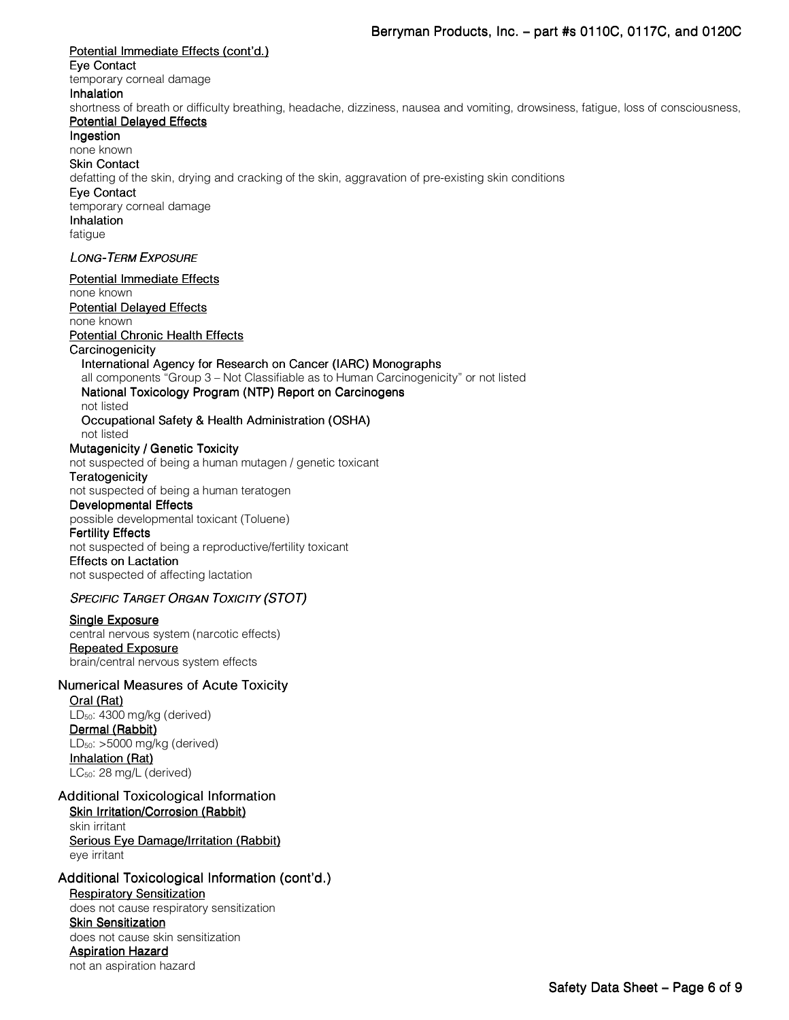### Potential Immediate Effects (cont'd.) Eye Contact temporary corneal damage **Inhalation** shortness of breath or difficulty breathing, headache, dizziness, nausea and vomiting, drowsiness, fatigue, loss of consciousness, Potential Delayed Effects Ingestion none known **Skin Contact** defatting of the skin, drying and cracking of the skin, aggravation of pre-existing skin conditions Eye Contact temporary corneal damage **Inhalation** fatigue **LONG-TERM EXPOSURE** Potential Immediate Effects none known Potential Delayed Effects none known Potential Chronic Health Effects **Carcinogenicity** International Agency for Research on Cancer (IARC) Monographs all components "Group 3 – Not Classifiable as to Human Carcinogenicity" or not listed National Toxicology Program (NTP) Report on Carcinogens not listed Occupational Safety & Health Administration (OSHA) not listed Mutagenicity / Genetic Toxicity not suspected of being a human mutagen / genetic toxicant **Teratogenicity** not suspected of being a human teratogen Developmental Effects possible developmental toxicant (Toluene) **Fertility Effects** not suspected of being a reproductive/fertility toxicant **Effects on Lactation** not suspected of affecting lactation SPECIFIC TARGET ORGAN TOXICITY (STOT) Single Exposure central nervous system (narcotic effects) Repeated Exposure brain/central nervous system effects Numerical Measures of Acute Toxicity Oral (Rat) LD<sub>50</sub>: 4300 mg/kg (derived) Dermal (Rabbit) LD50: >5000 mg/kg (derived) Inhalation (Rat) LC50: 28 mg/L (derived) Additional Toxicological Information Skin Irritation/Corrosion (Rabbit) skin irritant

Serious Eye Damage/Irritation (Rabbit) eye irritant

# Additional Toxicological Information (cont'd.)

Respiratory Sensitization does not cause respiratory sensitization Skin Sensitization does not cause skin sensitization Aspiration Hazard not an aspiration hazard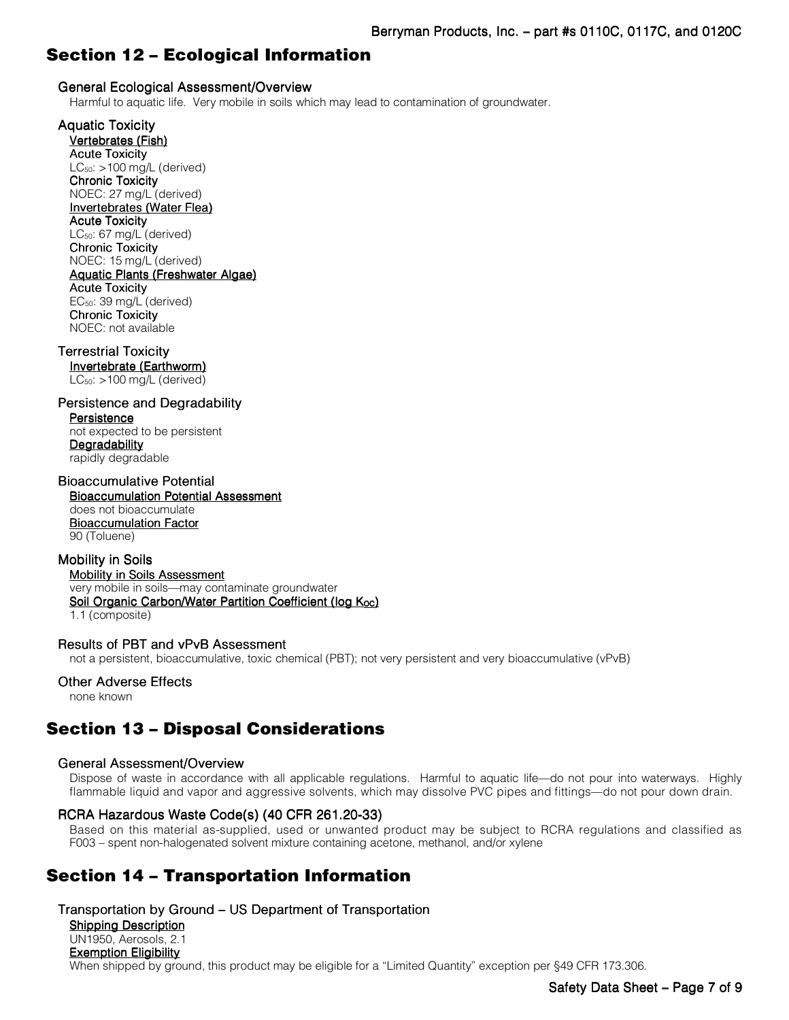# Section 12 – Ecological Information

### General Ecological Assessment/Overview

Harmful to aquatic life. Very mobile in soils which may lead to contamination of groundwater.

Aquatic Toxicity

Vertebrates (Fish) **Acute Toxicity** LC50: >100 mg/L (derived) **Chronic Toxicity** NOEC: 27 mg/L (derived) Invertebrates (Water Flea) **Acute Toxicity** LC50: 67 mg/L (derived) **Chronic Toxicity** NOEC: 15 mg/L (derived) Aquatic Plants (Freshwater Algae) **Acute Toxicity** EC50: 39 mg/L (derived) **Chronic Toxicity** NOEC: not available

### Terrestrial Toxicity

Invertebrate (Earthworm) LC50: >100 mg/L (derived)

### Persistence and Degradability

**Persistence** not expected to be persistent **Degradability** rapidly degradable

### **Bioaccumulative Potential**

Bioaccumulation Potential Assessment does not bioaccumulate Bioaccumulation Factor 90 (Toluene)

### Mobility in Soils

Mobility in Soils Assessment very mobile in soils—may contaminate groundwater Soil Organic Carbon/Water Partition Coefficient (log Koc) 1.1 (composite)

### Results of PBT and vPvB Assessment

not a persistent, bioaccumulative, toxic chemical (PBT); not very persistent and very bioaccumulative (vPvB)

### Other Adverse Effects

none known

# Section 13 – Disposal Considerations

### General Assessment/Overview

Dispose of waste in accordance with all applicable regulations. Harmful to aquatic life—do not pour into waterways. Highly flammable liquid and vapor and aggressive solvents, which may dissolve PVC pipes and fittings—do not pour down drain.

### RCRA Hazardous Waste Code(s) (40 CFR 261.20-33)

Based on this material as-supplied, used or unwanted product may be subject to RCRA regulations and classified as F003 – spent non-halogenated solvent mixture containing acetone, methanol, and/or xylene

# Section 14 – Transportation Information

### Transportation by Ground – US Department of Transportation

Shipping Description UN1950, Aerosols, 2.1 Exemption Eligibility When shipped by ground, this product may be eligible for a "Limited Quantity" exception per §49 CFR 173.306.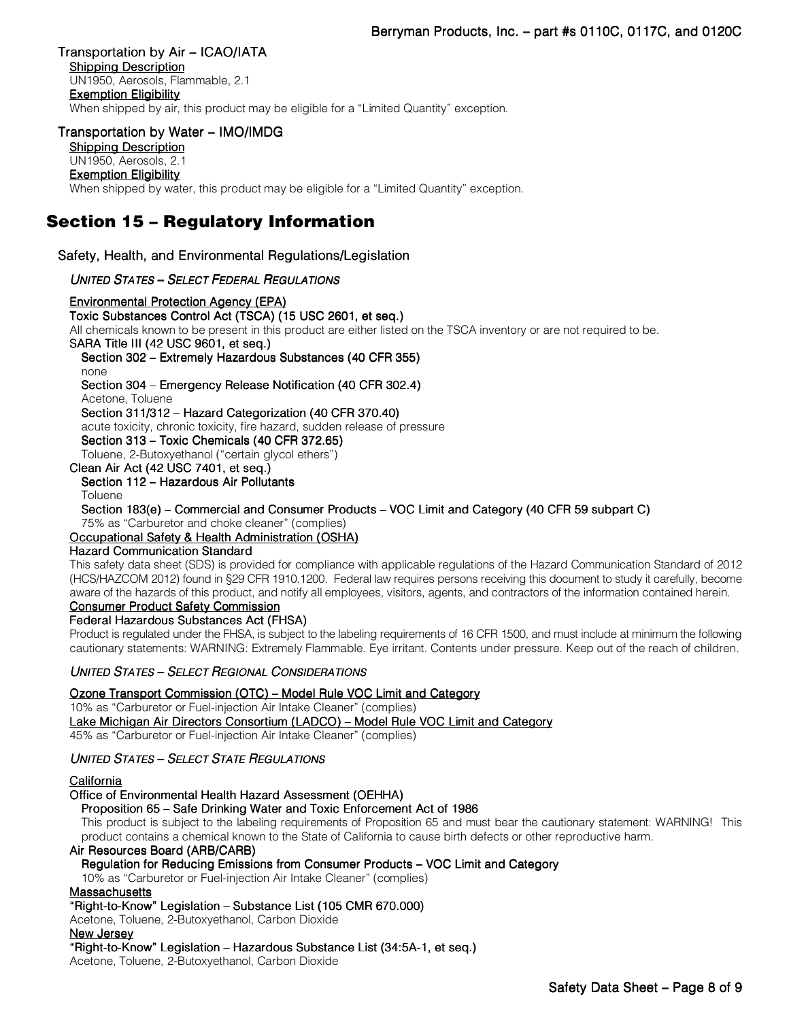### Transportation by Air – ICAO/IATA

Shipping Description UN1950, Aerosols, Flammable, 2.1 Exemption Eligibility When shipped by air, this product may be eligible for a "Limited Quantity" exception.

### Transportation by Water – IMO/IMDG

Shipping Description

#### UN1950, Aerosols, 2.1 Exemption Eligibility

When shipped by water, this product may be eligible for a "Limited Quantity" exception.

# Section 15 – Regulatory Information

Safety, Health, and Environmental Regulations/Legislation

### UNITED STATES – SELECT FEDERAL REGULATIONS

Environmental Protection Agency (EPA) Toxic Substances Control Act (TSCA) (15 USC 2601, et seq.) All chemicals known to be present in this product are either listed on the TSCA inventory or are not required to be.

SARA Title III (42 USC 9601, et seq.)

Section 302 – Extremely Hazardous Substances (40 CFR 355)

none

Section 304 – Emergency Release Notification (40 CFR 302.4)

Acetone, Toluene

Section 311/312 – Hazard Categorization (40 CFR 370.40)

acute toxicity, chronic toxicity, fire hazard, sudden release of pressure

Section 313 – Toxic Chemicals (40 CFR 372.65)

Toluene, 2-Butoxyethanol ("certain glycol ethers")

### Clean Air Act (42 USC 7401, et seq.)

#### Section 112 – Hazardous Air Pollutants Toluene

Section 183(e) – Commercial and Consumer Products – VOC Limit and Category (40 CFR 59 subpart C) 75% as "Carburetor and choke cleaner" (complies)

### Occupational Safety & Health Administration (OSHA)

### Hazard Communication Standard

This safety data sheet (SDS) is provided for compliance with applicable regulations of the Hazard Communication Standard of 2012 (HCS/HAZCOM 2012) found in §29 CFR 1910.1200. Federal law requires persons receiving this document to study it carefully, become aware of the hazards of this product, and notify all employees, visitors, agents, and contractors of the information contained herein.

#### Consumer Product Safety Commission Federal Hazardous Substances Act (FHSA)

Product is regulated under the FHSA, is subject to the labeling requirements of 16 CFR 1500, and must include at minimum the following cautionary statements: WARNING: Extremely Flammable. Eye irritant. Contents under pressure. Keep out of the reach of children.

### UNITED STATES – SELECT REGIONAL CONSIDERATIONS

### Ozone Transport Commission (OTC) – Model Rule VOC Limit and Category

10% as "Carburetor or Fuel-injection Air Intake Cleaner" (complies)

Lake Michigan Air Directors Consortium (LADCO) – Model Rule VOC Limit and Category

45% as "Carburetor or Fuel-injection Air Intake Cleaner" (complies)

### UNITED STATES – SELECT STATE REGULATIONS

### **California**

### Office of Environmental Health Hazard Assessment (OEHHA)

### Proposition 65 – Safe Drinking Water and Toxic Enforcement Act of 1986

This product is subject to the labeling requirements of Proposition 65 and must bear the cautionary statement: WARNING! This product contains a chemical known to the State of California to cause birth defects or other reproductive harm.

### Air Resources Board (ARB/CARB)

### Regulation for Reducing Emissions from Consumer Products – VOC Limit and Category

10% as "Carburetor or Fuel-injection Air Intake Cleaner" (complies)

### **Massachusetts**

### "Right-to-Know" Legislation – Substance List (105 CMR 670.000)

Acetone, Toluene, 2-Butoxyethanol, Carbon Dioxide

### New Jersey

### "Right-to-Know" Legislation – Hazardous Substance List (34:5A-1, et seq.)

Acetone, Toluene, 2-Butoxyethanol, Carbon Dioxide